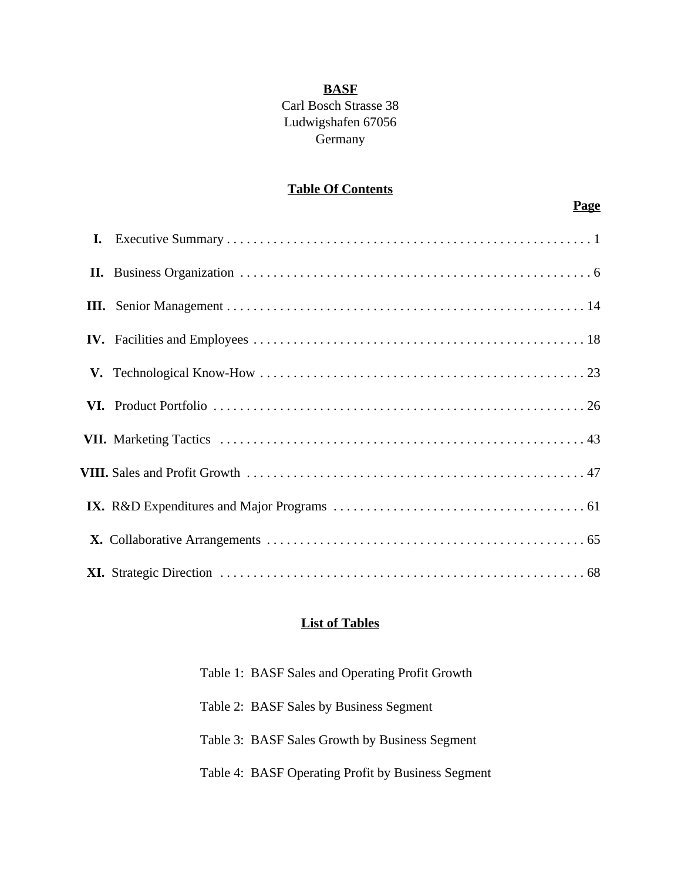## **BASF**

# Carl Bosch Strasse 38 Ludwigshafen 67056 Germany

#### **Table Of Contents**

# **Page**

| I. |  |
|----|--|
|    |  |
|    |  |
|    |  |
|    |  |
|    |  |
|    |  |
|    |  |
|    |  |
|    |  |
|    |  |

### **List of Tables**

| Table 1: BASF Sales and Operating Profit Growth    |
|----------------------------------------------------|
| Table 2: BASF Sales by Business Segment            |
| Table 3: BASF Sales Growth by Business Segment     |
| Table 4: BASF Operating Profit by Business Segment |